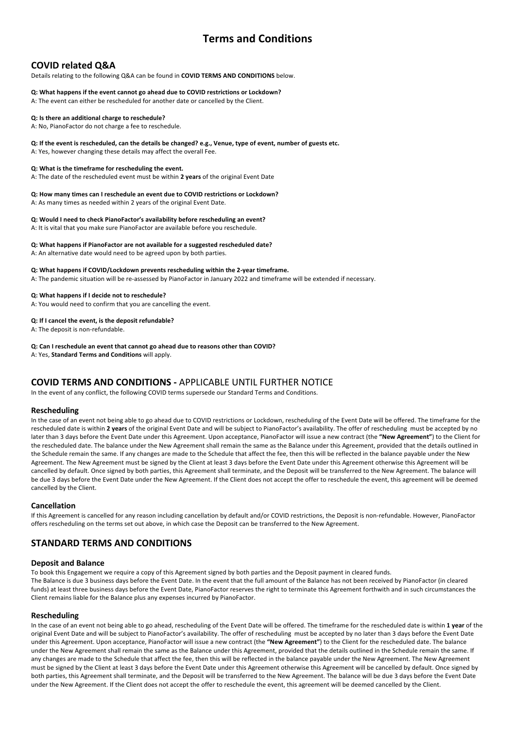# **Terms and Conditions**

# **COVID related Q&A**

Details relating to the following Q&A can be found in **COVID TERMS AND CONDITIONS** below.

# **Q: What happens if the event cannot go ahead due to COVID restrictions or Lockdown?**

A: The event can either be rescheduled for another date or cancelled by the Client.

## **Q: Is there an additional charge to reschedule?**

A: No, PianoFactor do not charge a fee to reschedule.

### **Q: If the event is rescheduled, can the details be changed? e.g., Venue, type of event, number of guests etc.**

A: Yes, however changing these details may affect the overall Fee.

### **Q: What is the timeframe for rescheduling the event.**

A: The date of the rescheduled event must be within **2 years** of the original Event Date

# **Q: How many times can I reschedule an event due to COVID restrictions or Lockdown?**

A: As many times as needed within 2 years of the original Event Date.

### **Q: Would I need to check PianoFactor's availability before rescheduling an event?**

A: It is vital that you make sure PianoFactor are available before you reschedule.

### **Q: What happens if PianoFactor are not available for a suggested rescheduled date?**

A: An alternative date would need to be agreed upon by both parties.

### **Q: What happens if COVID/Lockdown prevents rescheduling within the 2-year timeframe.**

A: The pandemic situation will be re-assessed by PianoFactor in January 2022 and timeframe will be extended if necessary.

### **Q: What happens if I decide not to reschedule?**

A: You would need to confirm that you are cancelling the event.

### **Q: If I cancel the event, is the deposit refundable?**

A: The deposit is non-refundable.

### **Q: Can I reschedule an event that cannot go ahead due to reasons other than COVID?**

A: Yes, **Standard Terms and Conditions** will apply.

# **COVID TERMS AND CONDITIONS -** APPLICABLE UNTIL FURTHER NOTICE

In the event of any conflict, the following COVID terms supersede our Standard Terms and Conditions.

### **Rescheduling**

In the case of an event not being able to go ahead due to COVID restrictions or Lockdown, rescheduling of the Event Date will be offered. The timeframe for the rescheduled date is within **2 years** of the original Event Date and will be subject to PianoFactor's availability. The offer of rescheduling must be accepted by no later than 3 days before the Event Date under this Agreement. Upon acceptance, PianoFactor will issue a new contract (the **"New Agreement"**) to the Client for the rescheduled date. The balance under the New Agreement shall remain the same as the Balance under this Agreement, provided that the details outlined in the Schedule remain the same. If any changes are made to the Schedule that affect the fee, then this will be reflected in the balance payable under the New Agreement. The New Agreement must be signed by the Client at least 3 days before the Event Date under this Agreement otherwise this Agreement will be cancelled by default. Once signed by both parties, this Agreement shall terminate, and the Deposit will be transferred to the New Agreement. The balance will be due 3 days before the Event Date under the New Agreement. If the Client does not accept the offer to reschedule the event, this agreement will be deemed cancelled by the Client.

### **Cancellation**

If this Agreement is cancelled for any reason including cancellation by default and/or COVID restrictions, the Deposit is non-refundable. However, PianoFactor offers rescheduling on the terms set out above, in which case the Deposit can be transferred to the New Agreement.

# **STANDARD TERMS AND CONDITIONS**

### **Deposit and Balance**

To book this Engagement we require a copy of this Agreement signed by both parties and the Deposit payment in cleared funds.

The Balance is due 3 business days before the Event Date. In the event that the full amount of the Balance has not been received by PianoFactor (in cleared funds) at least three business days before the Event Date, PianoFactor reserves the right to terminate this Agreement forthwith and in such circumstances the Client remains liable for the Balance plus any expenses incurred by PianoFactor.

### **Rescheduling**

In the case of an event not being able to go ahead, rescheduling of the Event Date will be offered. The timeframe for the rescheduled date is within **1 year** of the original Event Date and will be subject to PianoFactor's availability. The offer of rescheduling must be accepted by no later than 3 days before the Event Date under this Agreement. Upon acceptance, PianoFactor will issue a new contract (the **"New Agreement"**) to the Client for the rescheduled date. The balance under the New Agreement shall remain the same as the Balance under this Agreement, provided that the details outlined in the Schedule remain the same. If any changes are made to the Schedule that affect the fee, then this will be reflected in the balance payable under the New Agreement. The New Agreement must be signed by the Client at least 3 days before the Event Date under this Agreement otherwise this Agreement will be cancelled by default. Once signed by both parties, this Agreement shall terminate, and the Deposit will be transferred to the New Agreement. The balance will be due 3 days before the Event Date under the New Agreement. If the Client does not accept the offer to reschedule the event, this agreement will be deemed cancelled by the Client.